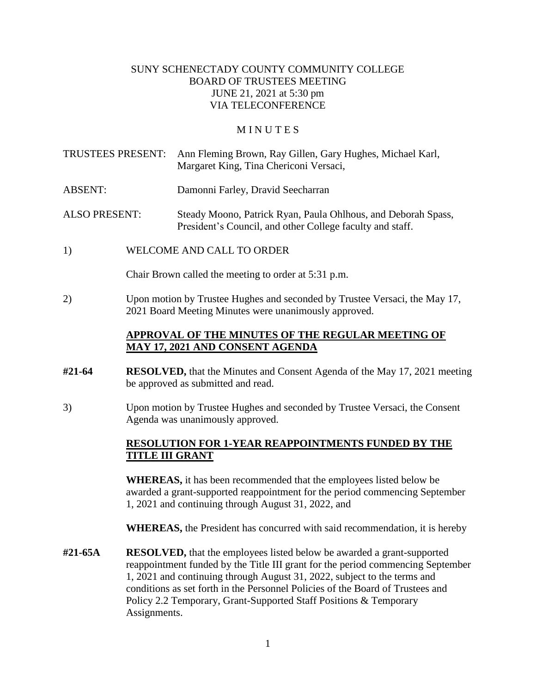#### SUNY SCHENECTADY COUNTY COMMUNITY COLLEGE BOARD OF TRUSTEES MEETING JUNE 21, 2021 at 5:30 pm VIA TELECONFERENCE

#### **MINUTES**

TRUSTEES PRESENT: Ann Fleming Brown, Ray Gillen, Gary Hughes, Michael Karl, Margaret King, Tina Chericoni Versaci,

ABSENT: Damonni Farley, Dravid Seecharran

ALSO PRESENT: Steady Moono, Patrick Ryan, Paula Ohlhous, and Deborah Spass, President's Council, and other College faculty and staff.

1) WELCOME AND CALL TO ORDER

Chair Brown called the meeting to order at 5:31 p.m.

2) Upon motion by Trustee Hughes and seconded by Trustee Versaci, the May 17, 2021 Board Meeting Minutes were unanimously approved.

#### **APPROVAL OF THE MINUTES OF THE REGULAR MEETING OF MAY 17, 2021 AND CONSENT AGENDA**

- **#21-64 RESOLVED,** that the Minutes and Consent Agenda of the May 17, 2021 meeting be approved as submitted and read.
- 3) Upon motion by Trustee Hughes and seconded by Trustee Versaci, the Consent Agenda was unanimously approved.

### **RESOLUTION FOR 1-YEAR REAPPOINTMENTS FUNDED BY THE TITLE III GRANT**

**WHEREAS,** it has been recommended that the employees listed below be awarded a grant-supported reappointment for the period commencing September 1, 2021 and continuing through August 31, 2022, and

**WHEREAS,** the President has concurred with said recommendation, it is hereby

 conditions as set forth in the Personnel Policies of the Board of Trustees and **#21-65A RESOLVED,** that the employees listed below be awarded a grant-supported reappointment funded by the Title III grant for the period commencing September 1, 2021 and continuing through August 31, 2022, subject to the terms and Policy 2.2 Temporary, Grant-Supported Staff Positions & Temporary Assignments.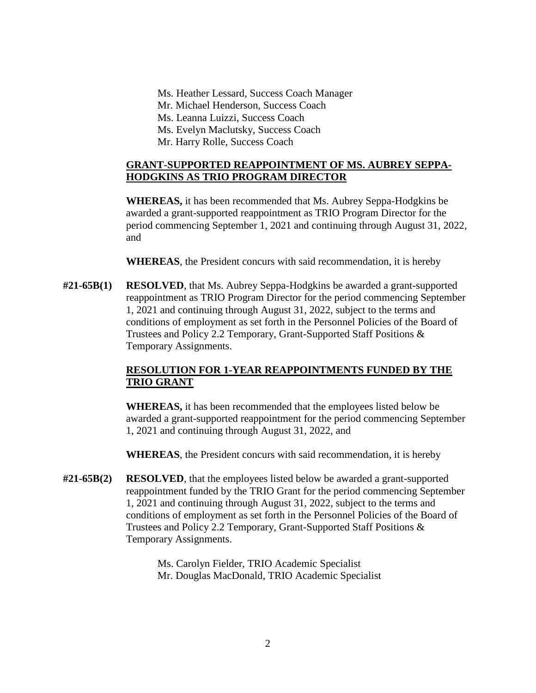Ms. Heather Lessard, Success Coach Manager Mr. Michael Henderson, Success Coach Ms. Leanna Luizzi, Success Coach Ms. Evelyn Maclutsky, Success Coach Mr. Harry Rolle, Success Coach

#### **GRANT-SUPPORTED REAPPOINTMENT OF MS. AUBREY SEPPA-HODGKINS AS TRIO PROGRAM DIRECTOR**

**WHEREAS,** it has been recommended that Ms. Aubrey Seppa-Hodgkins be awarded a grant-supported reappointment as TRIO Program Director for the period commencing September 1, 2021 and continuing through August 31, 2022, and

**WHEREAS**, the President concurs with said recommendation, it is hereby

**#21-65B(1) RESOLVED**, that Ms. Aubrey Seppa-Hodgkins be awarded a grant-supported reappointment as TRIO Program Director for the period commencing September 1, 2021 and continuing through August 31, 2022, subject to the terms and conditions of employment as set forth in the Personnel Policies of the Board of Trustees and Policy 2.2 Temporary, Grant-Supported Staff Positions & Temporary Assignments.

# **RESOLUTION FOR 1-YEAR REAPPOINTMENTS FUNDED BY THE TRIO GRANT**

**WHEREAS,** it has been recommended that the employees listed below be awarded a grant-supported reappointment for the period commencing September 1, 2021 and continuing through August 31, 2022, and

**WHEREAS**, the President concurs with said recommendation, it is hereby

**#21-65B(2) RESOLVED**, that the employees listed below be awarded a grant-supported reappointment funded by the TRIO Grant for the period commencing September 1, 2021 and continuing through August 31, 2022, subject to the terms and conditions of employment as set forth in the Personnel Policies of the Board of Trustees and Policy 2.2 Temporary, Grant-Supported Staff Positions & Temporary Assignments.

> Ms. Carolyn Fielder, TRIO Academic Specialist Mr. Douglas MacDonald, TRIO Academic Specialist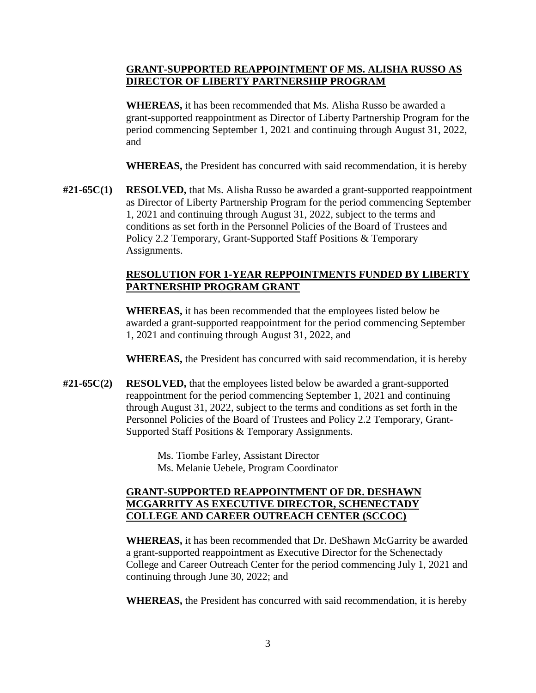## **GRANT-SUPPORTED REAPPOINTMENT OF MS. ALISHA RUSSO AS DIRECTOR OF LIBERTY PARTNERSHIP PROGRAM**

**WHEREAS,** it has been recommended that Ms. Alisha Russo be awarded a grant-supported reappointment as Director of Liberty Partnership Program for the period commencing September 1, 2021 and continuing through August 31, 2022, and

**WHEREAS,** the President has concurred with said recommendation, it is hereby

**#21-65C(1) RESOLVED,** that Ms. Alisha Russo be awarded a grant-supported reappointment as Director of Liberty Partnership Program for the period commencing September 1, 2021 and continuing through August 31, 2022, subject to the terms and conditions as set forth in the Personnel Policies of the Board of Trustees and Policy 2.2 Temporary, Grant-Supported Staff Positions & Temporary Assignments.

## **RESOLUTION FOR 1-YEAR REPPOINTMENTS FUNDED BY LIBERTY PARTNERSHIP PROGRAM GRANT**

**WHEREAS,** it has been recommended that the employees listed below be awarded a grant-supported reappointment for the period commencing September 1, 2021 and continuing through August 31, 2022, and

**WHEREAS,** the President has concurred with said recommendation, it is hereby

**#21-65C(2) RESOLVED,** that the employees listed below be awarded a grant-supported reappointment for the period commencing September 1, 2021 and continuing through August 31, 2022, subject to the terms and conditions as set forth in the Personnel Policies of the Board of Trustees and Policy 2.2 Temporary, Grant-Supported Staff Positions & Temporary Assignments.

> Ms. Tiombe Farley, Assistant Director Ms. Melanie Uebele, Program Coordinator

## **GRANT-SUPPORTED REAPPOINTMENT OF DR. DESHAWN MCGARRITY AS EXECUTIVE DIRECTOR, SCHENECTADY COLLEGE AND CAREER OUTREACH CENTER (SCCOC)**

**WHEREAS,** it has been recommended that Dr. DeShawn McGarrity be awarded a grant-supported reappointment as Executive Director for the Schenectady College and Career Outreach Center for the period commencing July 1, 2021 and continuing through June 30, 2022; and

**WHEREAS,** the President has concurred with said recommendation, it is hereby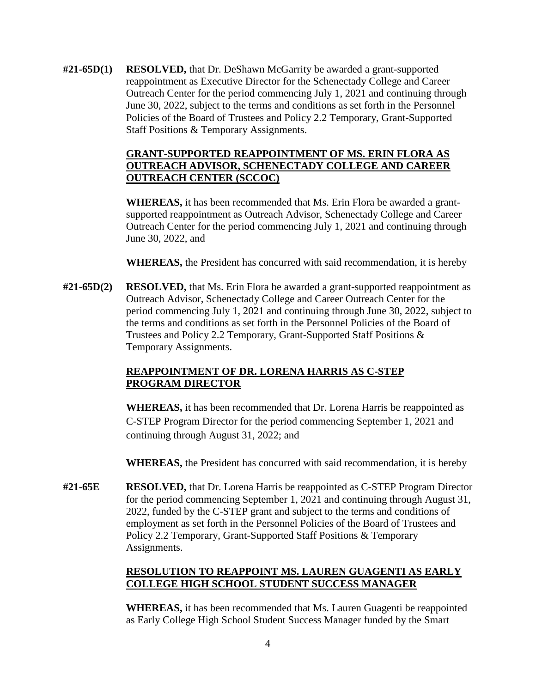**#21-65D(1) RESOLVED,** that Dr. DeShawn McGarrity be awarded a grant -supported reappointment as Executive Director for the Schenectady College and Career Outreach Center for the period commencing July 1, 2021 and continuing through June 30, 2022, subject to the terms and conditions as set forth in the Personnel Policies of the Board of Trustees and Policy 2.2 Temporary, Grant-Supported Staff Positions & Temporary Assignments.

## **GRANT-SUPPORTED REAPPOINTMENT OF MS. ERIN FLORA AS OUTREACH ADVISOR, SCHENECTADY COLLEGE AND CAREER OUTREACH CENTER (SCCOC)**

**WHEREAS,** it has been recommended that Ms. Erin Flora be awarded a grantsupported reappointment as Outreach Advisor, Schenectady College and Career Outreach Center for the period commencing July 1, 2021 and continuing through June 30, 2022, and

**WHEREAS,** the President has concurred with said recommendation, it is hereby

**#21-65D(2) RESOLVED,** that Ms. Erin Flora be awarded a grant-supported reappointment as Outreach Advisor, Schenectady College and Career Outreach Center for the period commencing July 1, 2021 and continuing through June 30, 2022, subject to the terms and conditions as set forth in the Personnel Policies of the Board of Trustees and Policy 2.2 Temporary, Grant-Supported Staff Positions & Temporary Assignments.

## **REAPPOINTMENT OF DR. LORENA HARRIS AS C-STEP PROGRAM DIRECTOR**

**WHEREAS,** it has been recommended that Dr. Lorena Harris be reappointed as C-STEP Program Director for the period commencing September 1, 2021 and continuing through August 31, 2022; and

**WHEREAS,** the President has concurred with said recommendation, it is hereby

**#21-65E RESOLVED,** that Dr. Lorena Harris be reappointed as C-STEP Program Director for the period commencing September 1, 2021 and continuing through August 31, 2022, funded by the C-STEP grant and subject to the terms and conditions of employment as set forth in the Personnel Policies of the Board of Trustees and Policy 2.2 Temporary, Grant-Supported Staff Positions & Temporary Assignments.

# **RESOLUTION TO REAPPOINT MS. LAUREN GUAGENTI AS EARLY COLLEGE HIGH SCHOOL STUDENT SUCCESS MANAGER**

**WHEREAS,** it has been recommended that Ms. Lauren Guagenti be reappointed as Early College High School Student Success Manager funded by the Smart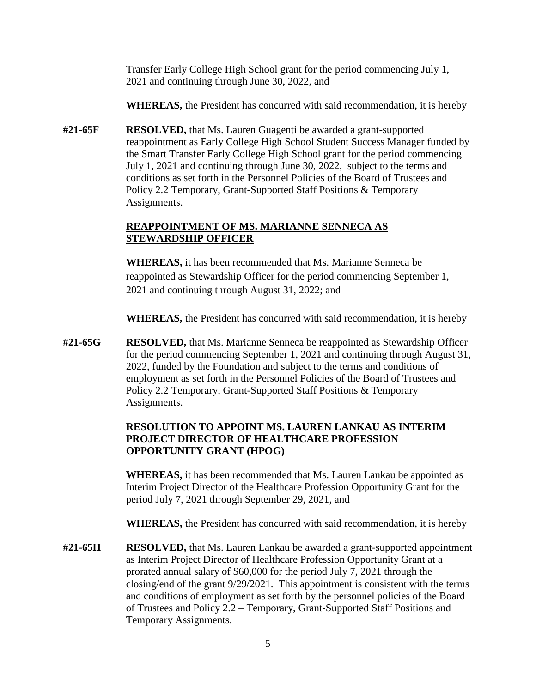Transfer Early College High School grant for the period commencing July 1, 2021 and continuing through June 30, 2022, and

**WHEREAS,** the President has concurred with said recommendation, it is hereby

 conditions as set forth in the Personnel Policies of the Board of Trustees and **#21-65F RESOLVED,** that Ms. Lauren Guagenti be awarded a grant-supported reappointment as Early College High School Student Success Manager funded by the Smart Transfer Early College High School grant for the period commencing July 1, 2021 and continuing through June 30, 2022, subject to the terms and Policy 2.2 Temporary, Grant-Supported Staff Positions & Temporary Assignments.

## **REAPPOINTMENT OF MS. MARIANNE SENNECA AS STEWARDSHIP OFFICER**

**WHEREAS,** it has been recommended that Ms. Marianne Senneca be reappointed as Stewardship Officer for the period commencing September 1, 2021 and continuing through August 31, 2022; and

**WHEREAS,** the President has concurred with said recommendation, it is hereby

**#21-65G RESOLVED,** that Ms. Marianne Senneca be reappointed as Stewardship Officer for the period commencing September 1, 2021 and continuing through August 31, 2022, funded by the Foundation and subject to the terms and conditions of employment as set forth in the Personnel Policies of the Board of Trustees and Policy 2.2 Temporary, Grant-Supported Staff Positions & Temporary Assignments.

# **RESOLUTION TO APPOINT MS. LAUREN LANKAU AS INTERIM PROJECT DIRECTOR OF HEALTHCARE PROFESSION OPPORTUNITY GRANT (HPOG)**

**WHEREAS,** it has been recommended that Ms. Lauren Lankau be appointed as Interim Project Director of the Healthcare Profession Opportunity Grant for the period July 7, 2021 through September 29, 2021, and

**WHEREAS,** the President has concurred with said recommendation, it is hereby

**#21-65H RESOLVED,** that Ms. Lauren Lankau be awarded a grant-supported appointment as Interim Project Director of Healthcare Profession Opportunity Grant at a prorated annual salary of \$60,000 for the period July 7, 2021 through the closing/end of the grant 9/29/2021. This appointment is consistent with the terms and conditions of employment as set forth by the personnel policies of the Board of Trustees and Policy 2.2 – Temporary, Grant-Supported Staff Positions and Temporary Assignments.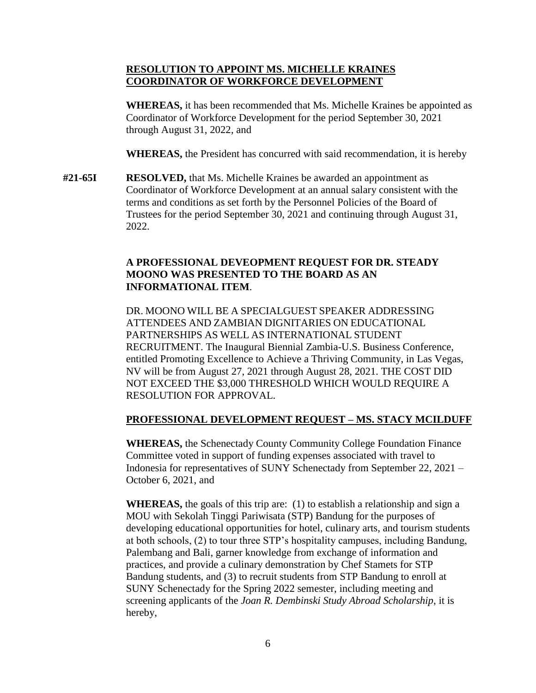#### **RESOLUTION TO APPOINT MS. MICHELLE KRAINES COORDINATOR OF WORKFORCE DEVELOPMENT**

**WHEREAS,** it has been recommended that Ms. Michelle Kraines be appointed as Coordinator of Workforce Development for the period September 30, 2021 through August 31, 2022, and

**WHEREAS,** the President has concurred with said recommendation, it is hereby

**#21-65I RESOLVED,** that Ms. Michelle Kraines be awarded an appointment as Coordinator of Workforce Development at an annual salary consistent with the terms and conditions as set forth by the Personnel Policies of the Board of Trustees for the period September 30, 2021 and continuing through August 31, 2022.

## **A PROFESSIONAL DEVEOPMENT REQUEST FOR DR. STEADY MOONO WAS PRESENTED TO THE BOARD AS AN INFORMATIONAL ITEM**.

DR. MOONO WILL BE A SPECIALGUEST SPEAKER ADDRESSING ATTENDEES AND ZAMBIAN DIGNITARIES ON EDUCATIONAL PARTNERSHIPS AS WELL AS INTERNATIONAL STUDENT RECRUITMENT. The Inaugural Biennial Zambia-U.S. Business Conference, entitled Promoting Excellence to Achieve a Thriving Community, in Las Vegas, NV will be from August 27, 2021 through August 28, 2021. THE COST DID NOT EXCEED THE \$3,000 THRESHOLD WHICH WOULD REQUIRE A RESOLUTION FOR APPROVAL.

## **PROFESSIONAL DEVELOPMENT REQUEST – MS. STACY MCILDUFF**

 **WHEREAS,** the Schenectady County Community College Foundation Finance Committee voted in support of funding expenses associated with travel to Indonesia for representatives of SUNY Schenectady from September 22, 2021 – October 6, 2021, and

**WHEREAS,** the goals of this trip are: (1) to establish a relationship and sign a MOU with Sekolah Tinggi Pariwisata (STP) Bandung for the purposes of developing educational opportunities for hotel, culinary arts, and tourism students at both schools, (2) to tour three STP's hospitality campuses, including Bandung, Palembang and Bali, garner knowledge from exchange of information and practices, and provide a culinary demonstration by Chef Stamets for STP Bandung students, and (3) to recruit students from STP Bandung to enroll at SUNY Schenectady for the Spring 2022 semester, including meeting and screening applicants of the *Joan R. Dembinski Study Abroad Scholarship*, it is hereby,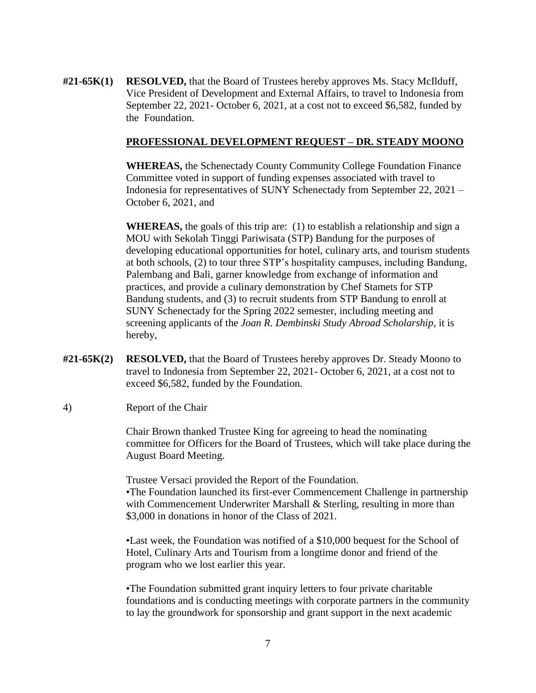**#21-65K(1) RESOLVED,** that the Board of Trustees hereby approves Ms. Stacy McIlduff, Vice President of Development and External Affairs, to travel to Indonesia from September 22, 2021- October 6, 2021, at a cost not to exceed \$6,582, funded by the Foundation.

#### **PROFESSIONAL DEVELOPMENT REQUEST – DR. STEADY MOONO**

 **WHEREAS,** the Schenectady County Community College Foundation Finance Committee voted in support of funding expenses associated with travel to Indonesia for representatives of SUNY Schenectady from September 22, 2021 – October 6, 2021, and

**WHEREAS,** the goals of this trip are: (1) to establish a relationship and sign a MOU with Sekolah Tinggi Pariwisata (STP) Bandung for the purposes of developing educational opportunities for hotel, culinary arts, and tourism students at both schools, (2) to tour three STP's hospitality campuses, including Bandung, Palembang and Bali, garner knowledge from exchange of information and practices, and provide a culinary demonstration by Chef Stamets for STP Bandung students, and (3) to recruit students from STP Bandung to enroll at SUNY Schenectady for the Spring 2022 semester, including meeting and screening applicants of the *Joan R. Dembinski Study Abroad Scholarship*, it is hereby,

- **#21-65K(2) RESOLVED,** that the Board of Trustees hereby approves Dr. Steady Moono to travel to Indonesia from September 22, 2021- October 6, 2021, at a cost not to exceed \$6,582, funded by the Foundation.
- 4) Report of the Chair

Chair Brown thanked Trustee King for agreeing to head the nominating committee for Officers for the Board of Trustees, which will take place during the August Board Meeting.

Trustee Versaci provided the Report of the Foundation. •The Foundation launched its first-ever Commencement Challenge in partnership with Commencement Underwriter Marshall & Sterling, resulting in more than \$3,000 in donations in honor of the Class of 2021.

•Last week, the Foundation was notified of a \$10,000 bequest for the School of Hotel, Culinary Arts and Tourism from a longtime donor and friend of the program who we lost earlier this year.

•The Foundation submitted grant inquiry letters to four private charitable foundations and is conducting meetings with corporate partners in the community to lay the groundwork for sponsorship and grant support in the next academic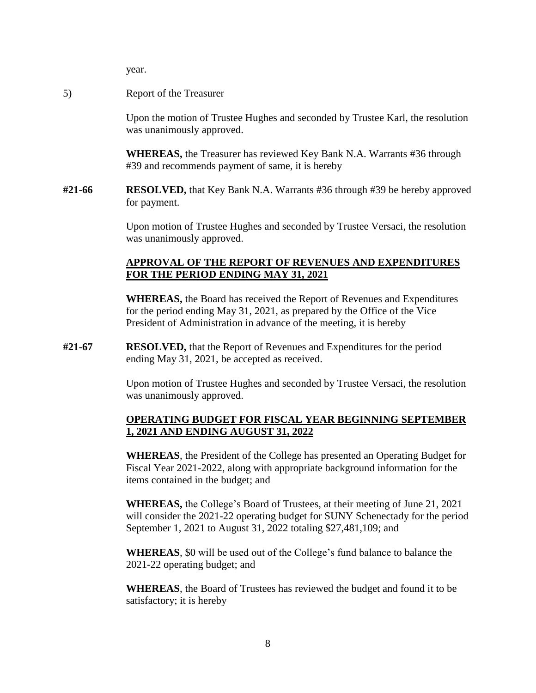year.

5) Report of the Treasurer

Upon the motion of Trustee Hughes and seconded by Trustee Karl, the resolution was unanimously approved.

**WHEREAS,** the Treasurer has reviewed Key Bank N.A. Warrants #36 through #39 and recommends payment of same, it is hereby

**#21-66 RESOLVED,** that Key Bank N.A. Warrants #36 through #39 be hereby approved for payment.

> Upon motion of Trustee Hughes and seconded by Trustee Versaci, the resolution was unanimously approved.

#### **APPROVAL OF THE REPORT OF REVENUES AND EXPENDITURES FOR THE PERIOD ENDING MAY 31, 2021**

**WHEREAS,** the Board has received the Report of Revenues and Expenditures for the period ending May 31, 2021, as prepared by the Office of the Vice President of Administration in advance of the meeting, it is hereby

**#21-67 RESOLVED,** that the Report of Revenues and Expenditures for the period ending May 31, 2021, be accepted as received.

> Upon motion of Trustee Hughes and seconded by Trustee Versaci, the resolution was unanimously approved.

#### **OPERATING BUDGET FOR FISCAL YEAR BEGINNING SEPTEMBER 1, 2021 AND ENDING AUGUST 31, 2022**

 **WHEREAS**, the President of the College has presented an Operating Budget for Fiscal Year 2021-2022, along with appropriate background information for the items contained in the budget; and

**WHEREAS,** the College's Board of Trustees, at their meeting of June 21, 2021 will consider the 2021-22 operating budget for SUNY Schenectady for the period September 1, 2021 to August 31, 2022 totaling \$27,481,109; and

**WHEREAS**, \$0 will be used out of the College's fund balance to balance the 2021-22 operating budget; and

**WHEREAS**, the Board of Trustees has reviewed the budget and found it to be satisfactory; it is hereby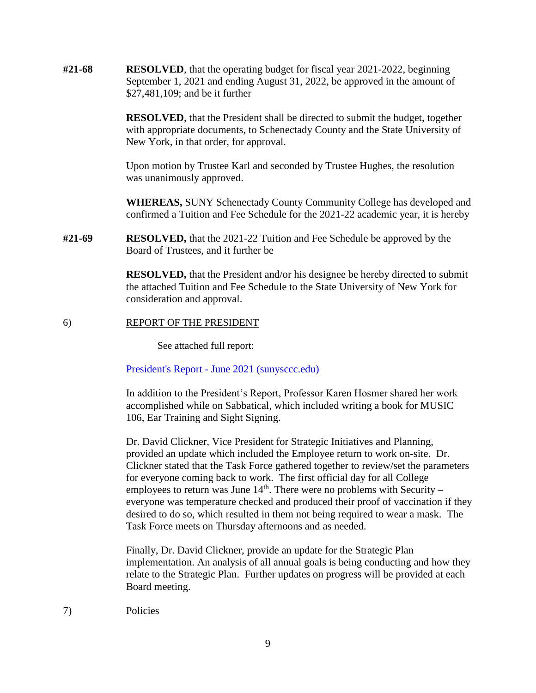| #21-68 | <b>RESOLVED</b> , that the operating budget for fiscal year 2021-2022, beginning<br>September 1, 2021 and ending August 31, 2022, be approved in the amount of<br>\$27,481,109; and be it further                                                                                                                                                                                                                                                                                              |
|--------|------------------------------------------------------------------------------------------------------------------------------------------------------------------------------------------------------------------------------------------------------------------------------------------------------------------------------------------------------------------------------------------------------------------------------------------------------------------------------------------------|
|        | <b>RESOLVED</b> , that the President shall be directed to submit the budget, together<br>with appropriate documents, to Schenectady County and the State University of<br>New York, in that order, for approval.                                                                                                                                                                                                                                                                               |
|        | Upon motion by Trustee Karl and seconded by Trustee Hughes, the resolution<br>was unanimously approved.                                                                                                                                                                                                                                                                                                                                                                                        |
|        | <b>WHEREAS, SUNY Schenectady County Community College has developed and</b><br>confirmed a Tuition and Fee Schedule for the 2021-22 academic year, it is hereby                                                                                                                                                                                                                                                                                                                                |
| #21-69 | <b>RESOLVED</b> , that the 2021-22 Tuition and Fee Schedule be approved by the<br>Board of Trustees, and it further be                                                                                                                                                                                                                                                                                                                                                                         |
|        | <b>RESOLVED</b> , that the President and/or his designee be hereby directed to submit<br>the attached Tuition and Fee Schedule to the State University of New York for<br>consideration and approval.                                                                                                                                                                                                                                                                                          |
| 6)     | REPORT OF THE PRESIDENT                                                                                                                                                                                                                                                                                                                                                                                                                                                                        |
|        | See attached full report:                                                                                                                                                                                                                                                                                                                                                                                                                                                                      |
|        | President's Report - June 2021 (sunysccc.edu)                                                                                                                                                                                                                                                                                                                                                                                                                                                  |
|        | In addition to the President's Report, Professor Karen Hosmer shared her work<br>accomplished while on Sabbatical, which included writing a book for MUSIC<br>106, Ear Training and Sight Signing.                                                                                                                                                                                                                                                                                             |
|        | Dr. David Clickner, Vice President for Strategic Initiatives and Planning,<br>provided an update which included the Employee return to work on-site. Dr.<br>Clickner stated that the Task Force gathered together to review/set the parameters<br>for everyone coming back to work. The first official day for all College<br>employees to return was June $14th$ . There were no problems with Security –<br>everyone was temperature checked and produced their proof of vaccination if they |

desired to do so, which resulted in them not being required to wear a mask. The Task Force meets on Thursday afternoons and as needed.

Finally, Dr. David Clickner, provide an update for the Strategic Plan implementation. An analysis of all annual goals is being conducting and how they relate to the Strategic Plan. Further updates on progress will be provided at each Board meeting.

7) Policies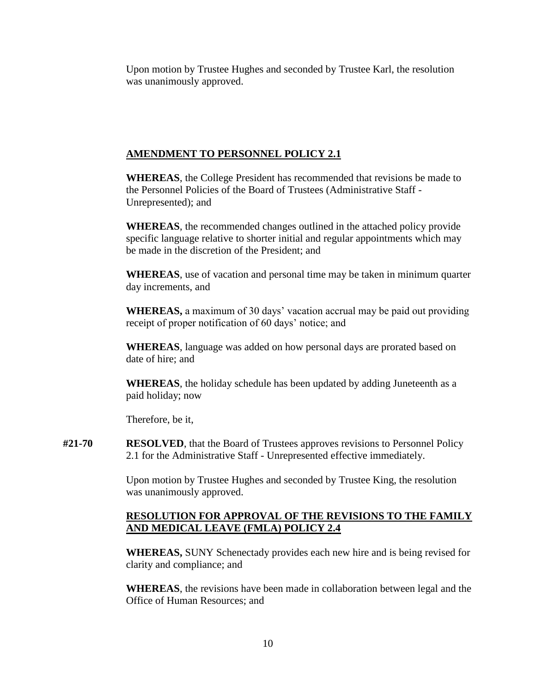Upon motion by Trustee Hughes and seconded by Trustee Karl, the resolution was unanimously approved.

## **AMENDMENT TO PERSONNEL POLICY 2.1**

**WHEREAS**, the College President has recommended that revisions be made to the Personnel Policies of the Board of Trustees (Administrative Staff - Unrepresented); and

**WHEREAS**, the recommended changes outlined in the attached policy provide specific language relative to shorter initial and regular appointments which may be made in the discretion of the President; and

**WHEREAS**, use of vacation and personal time may be taken in minimum quarter day increments, and

**WHEREAS,** a maximum of 30 days' vacation accrual may be paid out providing receipt of proper notification of 60 days' notice; and

**WHEREAS**, language was added on how personal days are prorated based on date of hire; and

**WHEREAS**, the holiday schedule has been updated by adding Juneteenth as a paid holiday; now

Therefore, be it,

**#21-70 RESOLVED**, that the Board of Trustees approves revisions to Personnel Policy 2.1 for the Administrative Staff - Unrepresented effective immediately.

> Upon motion by Trustee Hughes and seconded by Trustee King, the resolution was unanimously approved.

### **RESOLUTION FOR APPROVAL OF THE REVISIONS TO THE FAMILY AND MEDICAL LEAVE (FMLA) POLICY 2.4**

 **WHEREAS,** SUNY Schenectady provides each new hire and is being revised for clarity and compliance; and

**WHEREAS**, the revisions have been made in collaboration between legal and the Office of Human Resources; and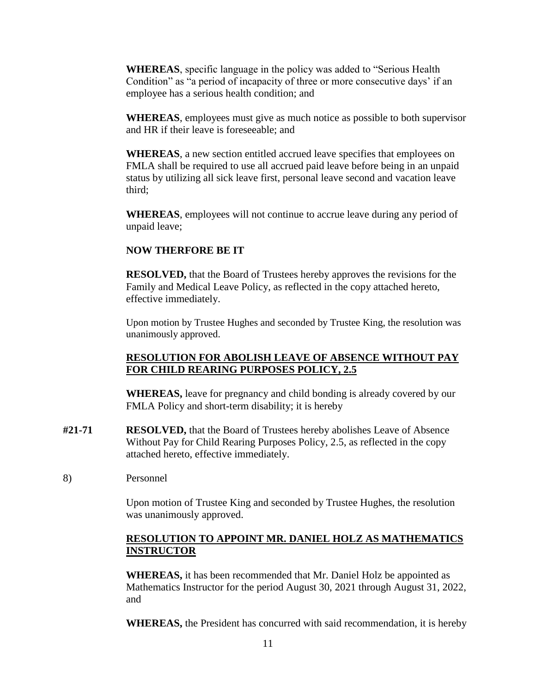**WHEREAS**, specific language in the policy was added to "Serious Health Condition" as "a period of incapacity of three or more consecutive days' if an employee has a serious health condition; and

**WHEREAS**, employees must give as much notice as possible to both supervisor and HR if their leave is foreseeable; and

**WHEREAS**, a new section entitled accrued leave specifies that employees on FMLA shall be required to use all accrued paid leave before being in an unpaid status by utilizing all sick leave first, personal leave second and vacation leave third;

**WHEREAS**, employees will not continue to accrue leave during any period of unpaid leave;

### **NOW THERFORE BE IT**

**RESOLVED,** that the Board of Trustees hereby approves the revisions for the Family and Medical Leave Policy, as reflected in the copy attached hereto, effective immediately.

Upon motion by Trustee Hughes and seconded by Trustee King, the resolution was unanimously approved.

## **RESOLUTION FOR ABOLISH LEAVE OF ABSENCE WITHOUT PAY FOR CHILD REARING PURPOSES POLICY, 2.5**

**WHEREAS,** leave for pregnancy and child bonding is already covered by our FMLA Policy and short-term disability; it is hereby

- **#21-71 RESOLVED,** that the Board of Trustees hereby abolishes Leave of Absence Without Pay for Child Rearing Purposes Policy, 2.5, as reflected in the copy attached hereto, effective immediately.
- 8) Personnel

Upon motion of Trustee King and seconded by Trustee Hughes, the resolution was unanimously approved.

### **RESOLUTION TO APPOINT MR. DANIEL HOLZ AS MATHEMATICS INSTRUCTOR**

**WHEREAS,** it has been recommended that Mr. Daniel Holz be appointed as Mathematics Instructor for the period August 30, 2021 through August 31, 2022, and

**WHEREAS,** the President has concurred with said recommendation, it is hereby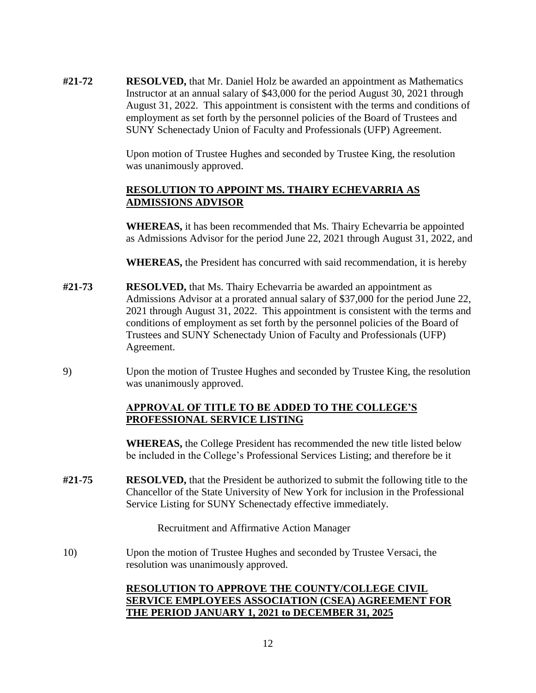**#21-72 RESOLVED,** that Mr. Daniel Holz be awarded an appointment as Mathematics Instructor at an annual salary of \$43,000 for the period August 30, 2021 through August 31, 2022. This appointment is consistent with the terms and conditions of employment as set forth by the personnel policies of the Board of Trustees and SUNY Schenectady Union of Faculty and Professionals (UFP) Agreement.

> Upon motion of Trustee Hughes and seconded by Trustee King, the resolution was unanimously approved.

### **RESOLUTION TO APPOINT MS. THAIRY ECHEVARRIA AS ADMISSIONS ADVISOR**

**WHEREAS,** it has been recommended that Ms. Thairy Echevarria be appointed as Admissions Advisor for the period June 22, 2021 through August 31, 2022, and

**WHEREAS,** the President has concurred with said recommendation, it is hereby

- **#21-73 RESOLVED,** that Ms. Thairy Echevarria be awarded an appointment as Admissions Advisor at a prorated annual salary of \$37,000 for the period June 22, 2021 through August 31, 2022. This appointment is consistent with the terms and conditions of employment as set forth by the personnel policies of the Board of Trustees and SUNY Schenectady Union of Faculty and Professionals (UFP) Agreement.
- 9) Upon the motion of Trustee Hughes and seconded by Trustee King, the resolution was unanimously approved.

# **APPROVAL OF TITLE TO BE ADDED TO THE COLLEGE'S PROFESSIONAL SERVICE LISTING**

**WHEREAS,** the College President has recommended the new title listed below be included in the College's Professional Services Listing; and therefore be it

 Service Listing for SUNY Schenectady effective immediately. **#21-75 RESOLVED,** that the President be authorized to submit the following title to the Chancellor of the State University of New York for inclusion in the Professional

Recruitment and Affirmative Action Manager

10) Upon the motion of Trustee Hughes and seconded by Trustee Versaci, the resolution was unanimously approved.

# **RESOLUTION TO APPROVE THE COUNTY/COLLEGE CIVIL SERVICE EMPLOYEES ASSOCIATION (CSEA) AGREEMENT FOR THE PERIOD JANUARY 1, 2021 to DECEMBER 31, 2025**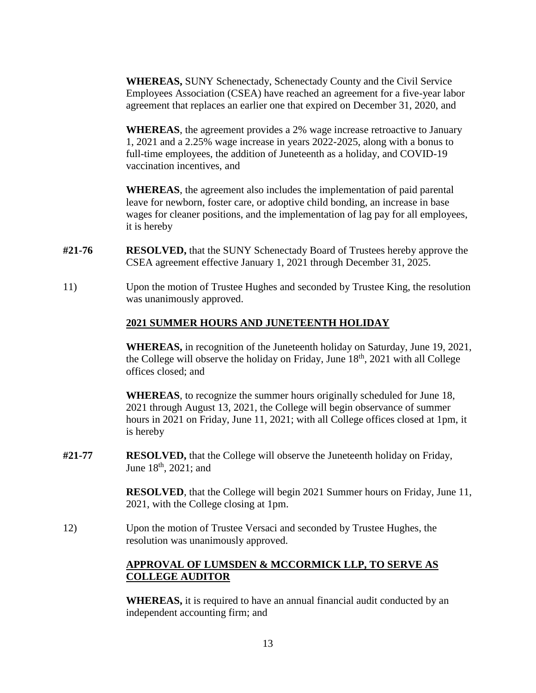**WHEREAS,** SUNY Schenectady, Schenectady County and the Civil Service Employees Association (CSEA) have reached an agreement for a five-year labor agreement that replaces an earlier one that expired on December 31, 2020, and

**WHEREAS**, the agreement provides a 2% wage increase retroactive to January 1, 2021 and a 2.25% wage increase in years 2022-2025, along with a bonus to full-time employees, the addition of Juneteenth as a holiday, and COVID-19 vaccination incentives, and

**WHEREAS**, the agreement also includes the implementation of paid parental leave for newborn, foster care, or adoptive child bonding, an increase in base wages for cleaner positions, and the implementation of lag pay for all employees, it is hereby

- **#21-76 RESOLVED,** that the SUNY Schenectady Board of Trustees hereby approve the CSEA agreement effective January 1, 2021 through December 31, 2025.
- 11) Upon the motion of Trustee Hughes and seconded by Trustee King, the resolution was unanimously approved.

## **2021 SUMMER HOURS AND JUNETEENTH HOLIDAY**

**WHEREAS,** in recognition of the Juneteenth holiday on Saturday, June 19, 2021, the College will observe the holiday on Friday, June  $18<sup>th</sup>$ , 2021 with all College offices closed; and

**WHEREAS**, to recognize the summer hours originally scheduled for June 18, 2021 through August 13, 2021, the College will begin observance of summer hours in 2021 on Friday, June 11, 2021; with all College offices closed at 1pm, it is hereby

**#21-77 RESOLVED,** that the College will observe the Juneteenth holiday on Friday, June 18<sup>th</sup>, 2021; and

> **RESOLVED**, that the College will begin 2021 Summer hours on Friday, June 11, 2021, with the College closing at 1pm.

12) Upon the motion of Trustee Versaci and seconded by Trustee Hughes, the resolution was unanimously approved.

# **APPROVAL OF LUMSDEN & MCCORMICK LLP, TO SERVE AS COLLEGE AUDITOR**

**WHEREAS,** it is required to have an annual financial audit conducted by an independent accounting firm; and